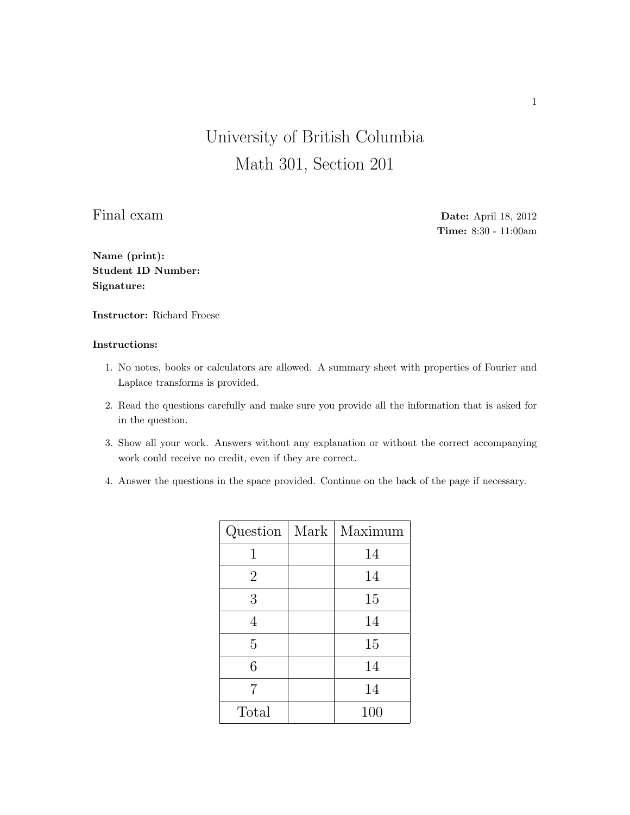## University of British Columbia Math 301, Section 201

Final exam Date: April 18, 2012 Time: 8:30 - 11:00am

Name (print): Student ID Number: Signature:

Instructor: Richard Froese

## Instructions:

- 1. No notes, books or calculators are allowed. A summary sheet with properties of Fourier and Laplace transforms is provided.
- 2. Read the questions carefully and make sure you provide all the information that is asked for in the question.
- 3. Show all your work. Answers without any explanation or without the correct accompanying work could receive no credit, even if they are correct.
- 4. Answer the questions in the space provided. Continue on the back of the page if necessary.

| Question       | Mark | Maximum |
|----------------|------|---------|
| 1              |      | 14      |
| $\overline{2}$ |      | 14      |
| 3              |      | 15      |
| 4              |      | 14      |
| $\overline{5}$ |      | 15      |
| 6              |      | 14      |
| 7              |      | 14      |
| Total          |      | 100     |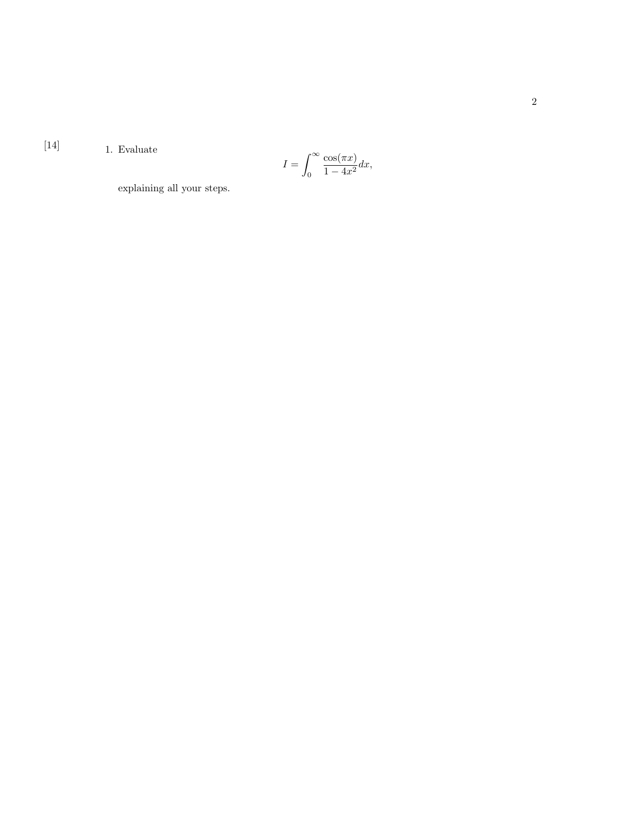[14]  $1. Evaluate$ 

$$
I = \int_0^\infty \frac{\cos(\pi x)}{1 - 4x^2} dx,
$$

explaining all your steps.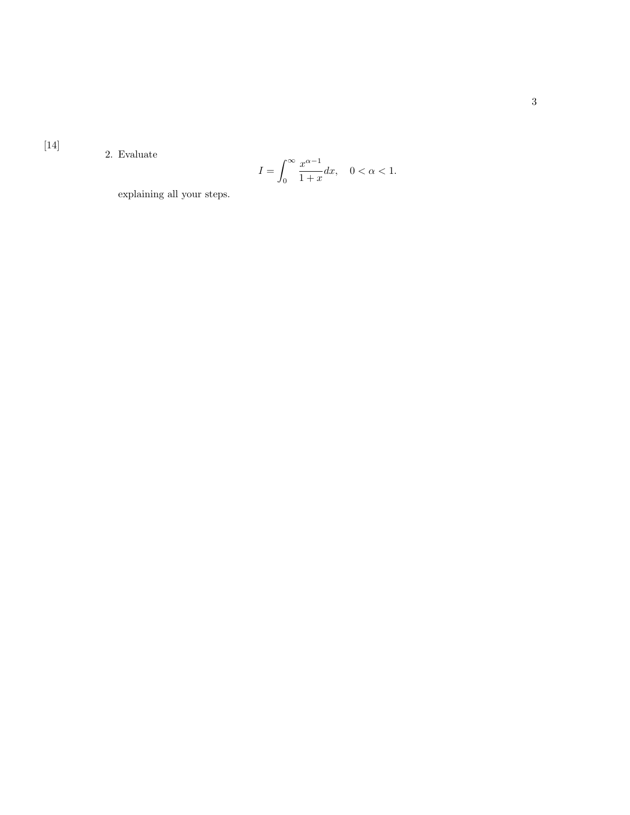2. Evaluate

$$
I = \int_0^\infty \frac{x^{\alpha - 1}}{1 + x} dx, \quad 0 < \alpha < 1.
$$

explaining all your steps.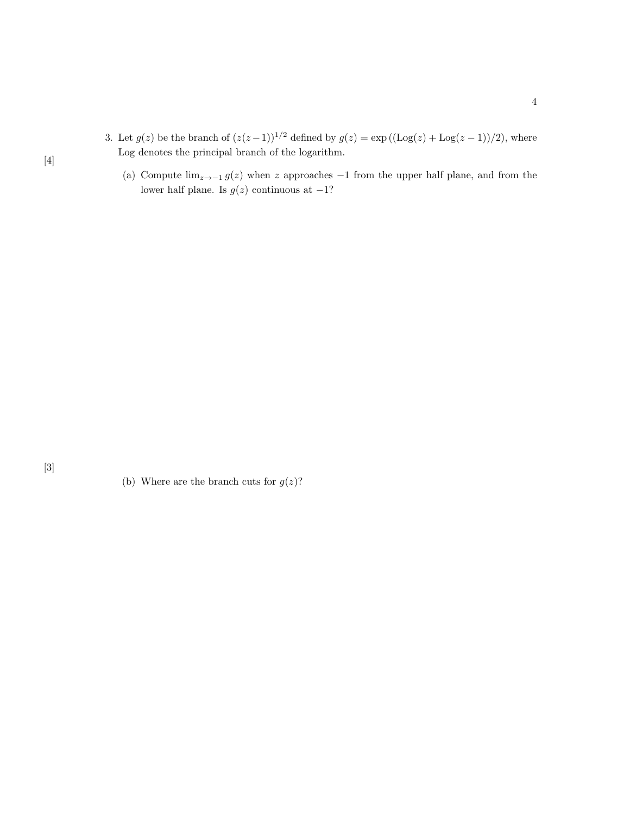- 3. Let  $g(z)$  be the branch of  $(z(z-1))^{1/2}$  defined by  $g(z) = \exp((\text{Log}(z) + \text{Log}(z-1))/2)$ , where Log denotes the principal branch of the logarithm.
	- (a) Compute  $\lim_{z\to -1} g(z)$  when z approaches -1 from the upper half plane, and from the lower half plane. Is  $g(z)$  continuous at  $-1$ ?

[4]

<sup>(</sup>b) Where are the branch cuts for  $g(z)$ ?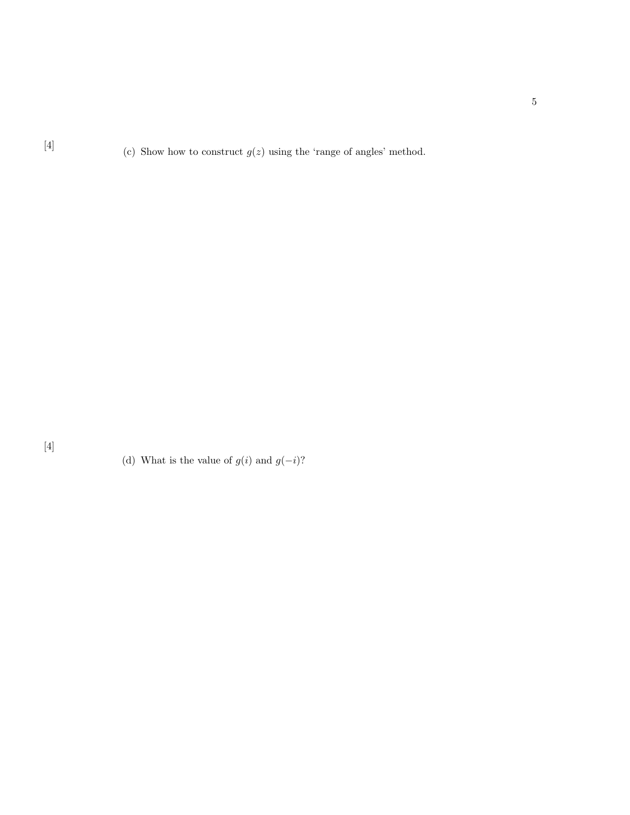[4] (c) Show how to construct  $g(z)$  using the 'range of angles' method.

(d) What is the value of  $g(i)$  and  $g(-i) ?$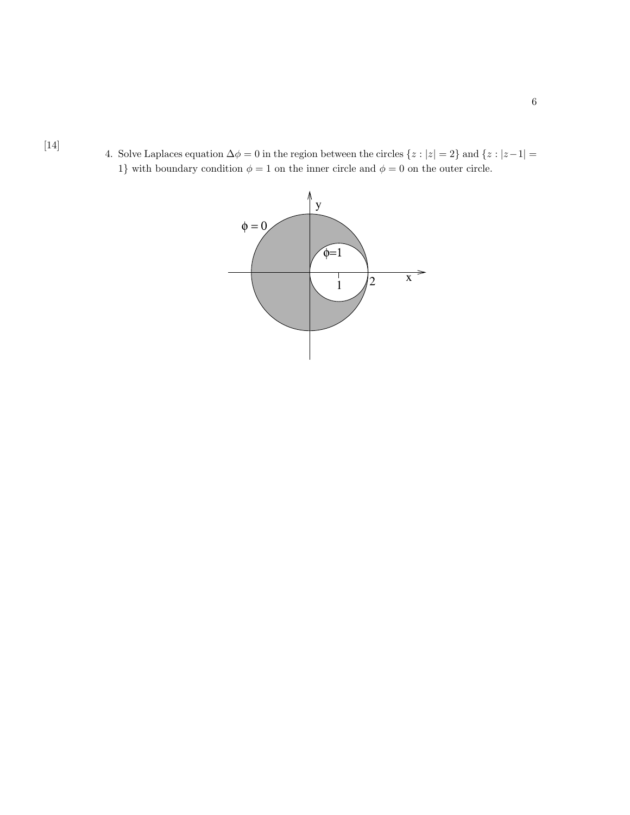[14]

4. Solve Laplaces equation  $\Delta \phi = 0$  in the region between the circles  $\{z : |z| = 2\}$  and  $\{z : |z - 1| = 1\}$ 1} with boundary condition  $\phi = 1$  on the inner circle and  $\phi = 0$  on the outer circle.

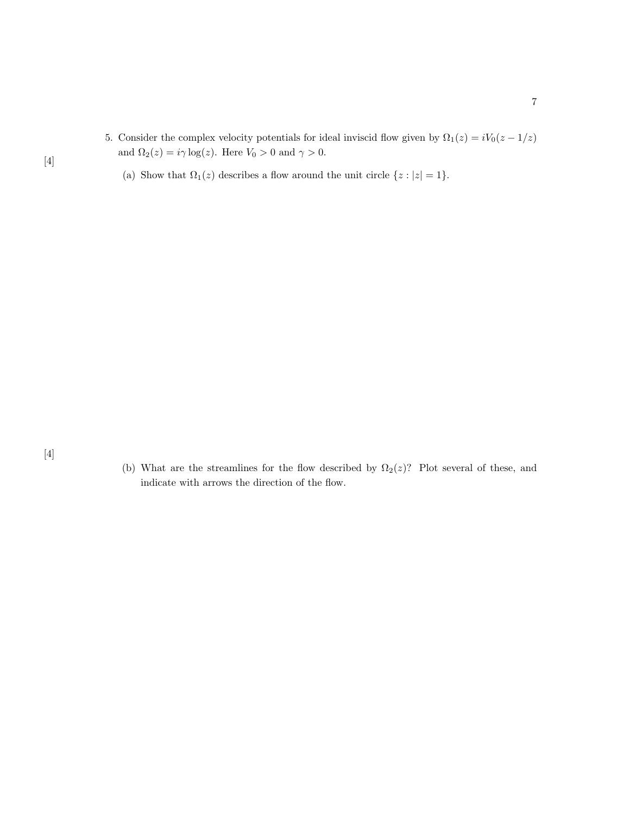- 5. Consider the complex velocity potentials for ideal inviscid flow given by  $\Omega_1(z) = iV_0(z 1/z)$ and  $\Omega_2(z)=i\gamma\log(z).$  Here  $V_0>0$  and  $\gamma>0.$ 
	- (a) Show that  $\Omega_1(z)$  describes a flow around the unit circle  $\{z: |z|=1\}.$

(b) What are the streamlines for the flow described by  $\Omega_2(z)$ ? Plot several of these, and indicate with arrows the direction of the flow.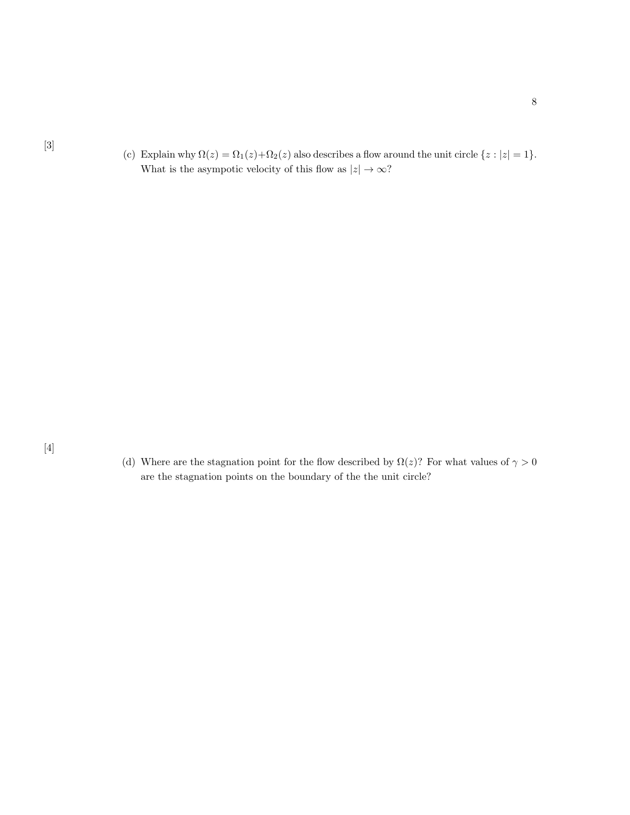[3]

(c) Explain why  $\Omega(z) = \Omega_1(z) + \Omega_2(z)$  also describes a flow around the unit circle  $\{z : |z| = 1\}$ . What is the asympotic velocity of this flow as  $|z|\to\infty?$ 

(d) Where are the stagnation point for the flow described by  $\Omega(z)$ ? For what values of  $\gamma > 0$ are the stagnation points on the boundary of the the unit circle?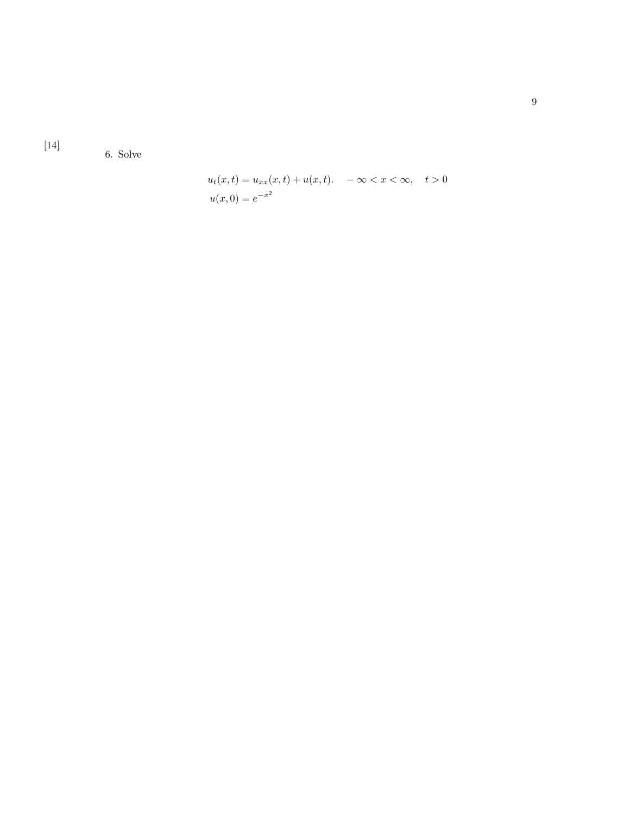$[14] \label{eq:14}$ 

6. Solve

$$
u_t(x,t) = u_{xx}(x,t) + u(x,t). \quad -\infty < x < \infty, \quad t > 0
$$
\n
$$
u(x,0) = e^{-x^2}
$$